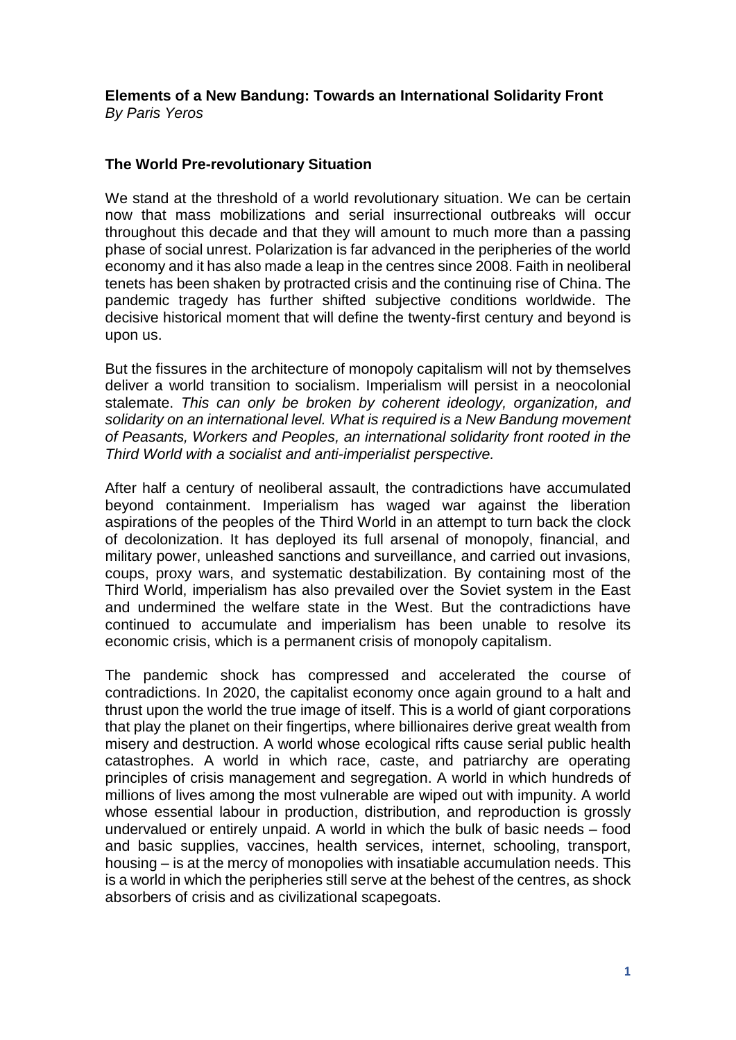#### **Elements of a New Bandung: Towards an International Solidarity Front** *By Paris Yeros*

# **The World Pre-revolutionary Situation**

We stand at the threshold of a world revolutionary situation. We can be certain now that mass mobilizations and serial insurrectional outbreaks will occur throughout this decade and that they will amount to much more than a passing phase of social unrest. Polarization is far advanced in the peripheries of the world economy and it has also made a leap in the centres since 2008. Faith in neoliberal tenets has been shaken by protracted crisis and the continuing rise of China. The pandemic tragedy has further shifted subjective conditions worldwide. The decisive historical moment that will define the twenty-first century and beyond is upon us.

But the fissures in the architecture of monopoly capitalism will not by themselves deliver a world transition to socialism. Imperialism will persist in a neocolonial stalemate. *This can only be broken by coherent ideology, organization, and solidarity on an international level. What is required is a New Bandung movement of Peasants, Workers and Peoples, an international solidarity front rooted in the Third World with a socialist and anti-imperialist perspective.*

After half a century of neoliberal assault, the contradictions have accumulated beyond containment. Imperialism has waged war against the liberation aspirations of the peoples of the Third World in an attempt to turn back the clock of decolonization. It has deployed its full arsenal of monopoly, financial, and military power, unleashed sanctions and surveillance, and carried out invasions, coups, proxy wars, and systematic destabilization. By containing most of the Third World, imperialism has also prevailed over the Soviet system in the East and undermined the welfare state in the West. But the contradictions have continued to accumulate and imperialism has been unable to resolve its economic crisis, which is a permanent crisis of monopoly capitalism.

The pandemic shock has compressed and accelerated the course of contradictions. In 2020, the capitalist economy once again ground to a halt and thrust upon the world the true image of itself. This is a world of giant corporations that play the planet on their fingertips, where billionaires derive great wealth from misery and destruction. A world whose ecological rifts cause serial public health catastrophes. A world in which race, caste, and patriarchy are operating principles of crisis management and segregation. A world in which hundreds of millions of lives among the most vulnerable are wiped out with impunity. A world whose essential labour in production, distribution, and reproduction is grossly undervalued or entirely unpaid. A world in which the bulk of basic needs – food and basic supplies, vaccines, health services, internet, schooling, transport, housing – is at the mercy of monopolies with insatiable accumulation needs. This is a world in which the peripheries still serve at the behest of the centres, as shock absorbers of crisis and as civilizational scapegoats.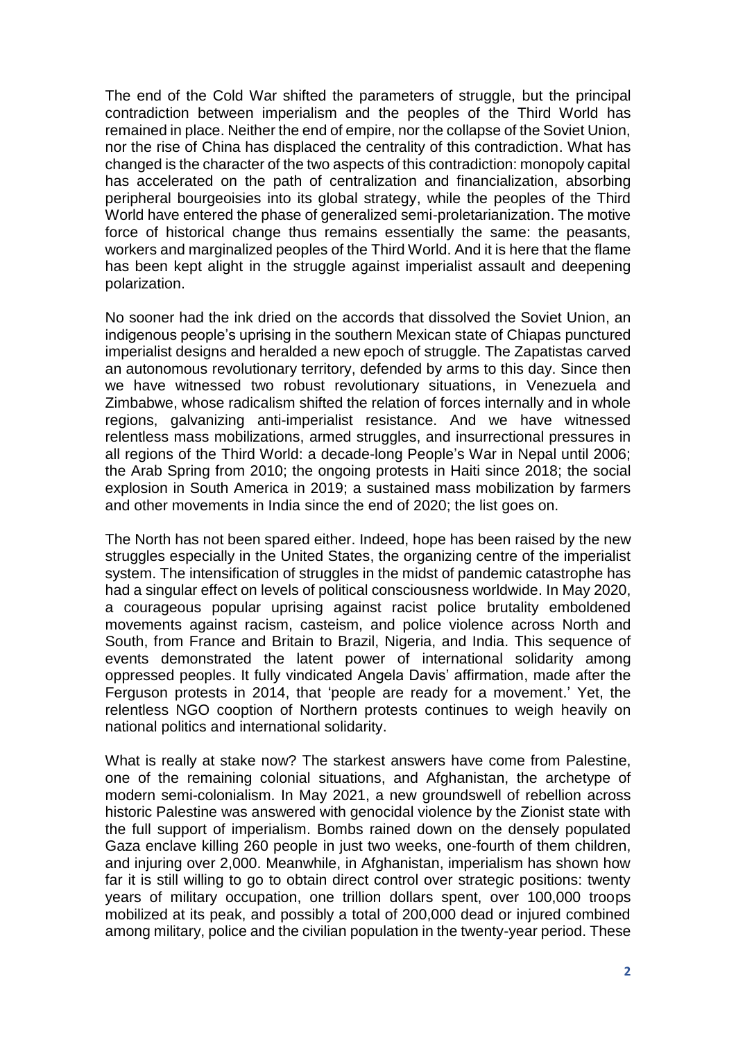The end of the Cold War shifted the parameters of struggle, but the principal contradiction between imperialism and the peoples of the Third World has remained in place. Neither the end of empire, nor the collapse of the Soviet Union, nor the rise of China has displaced the centrality of this contradiction. What has changed is the character of the two aspects of this contradiction: monopoly capital has accelerated on the path of centralization and financialization, absorbing peripheral bourgeoisies into its global strategy, while the peoples of the Third World have entered the phase of generalized semi-proletarianization. The motive force of historical change thus remains essentially the same: the peasants, workers and marginalized peoples of the Third World. And it is here that the flame has been kept alight in the struggle against imperialist assault and deepening polarization.

No sooner had the ink dried on the accords that dissolved the Soviet Union, an indigenous people's uprising in the southern Mexican state of Chiapas punctured imperialist designs and heralded a new epoch of struggle. The Zapatistas carved an autonomous revolutionary territory, defended by arms to this day. Since then we have witnessed two robust revolutionary situations, in Venezuela and Zimbabwe, whose radicalism shifted the relation of forces internally and in whole regions, galvanizing anti-imperialist resistance. And we have witnessed relentless mass mobilizations, armed struggles, and insurrectional pressures in all regions of the Third World: a decade-long People's War in Nepal until 2006; the Arab Spring from 2010; the ongoing protests in Haiti since 2018; the social explosion in South America in 2019; a sustained mass mobilization by farmers and other movements in India since the end of 2020; the list goes on.

The North has not been spared either. Indeed, hope has been raised by the new struggles especially in the United States, the organizing centre of the imperialist system. The intensification of struggles in the midst of pandemic catastrophe has had a singular effect on levels of political consciousness worldwide. In May 2020, a courageous popular uprising against racist police brutality emboldened movements against racism, casteism, and police violence across North and South, from France and Britain to Brazil, Nigeria, and India. This sequence of events demonstrated the latent power of international solidarity among oppressed peoples. It fully vindicated Angela Davis' affirmation, made after the Ferguson protests in 2014, that 'people are ready for a movement.' Yet, the relentless NGO cooption of Northern protests continues to weigh heavily on national politics and international solidarity.

What is really at stake now? The starkest answers have come from Palestine, one of the remaining colonial situations, and Afghanistan, the archetype of modern semi-colonialism. In May 2021, a new groundswell of rebellion across historic Palestine was answered with genocidal violence by the Zionist state with the full support of imperialism. Bombs rained down on the densely populated Gaza enclave killing 260 people in just two weeks, one-fourth of them children, and injuring over 2,000. Meanwhile, in Afghanistan, imperialism has shown how far it is still willing to go to obtain direct control over strategic positions: twenty years of military occupation, one trillion dollars spent, over 100,000 troops mobilized at its peak, and possibly a total of 200,000 dead or injured combined among military, police and the civilian population in the twenty-year period. These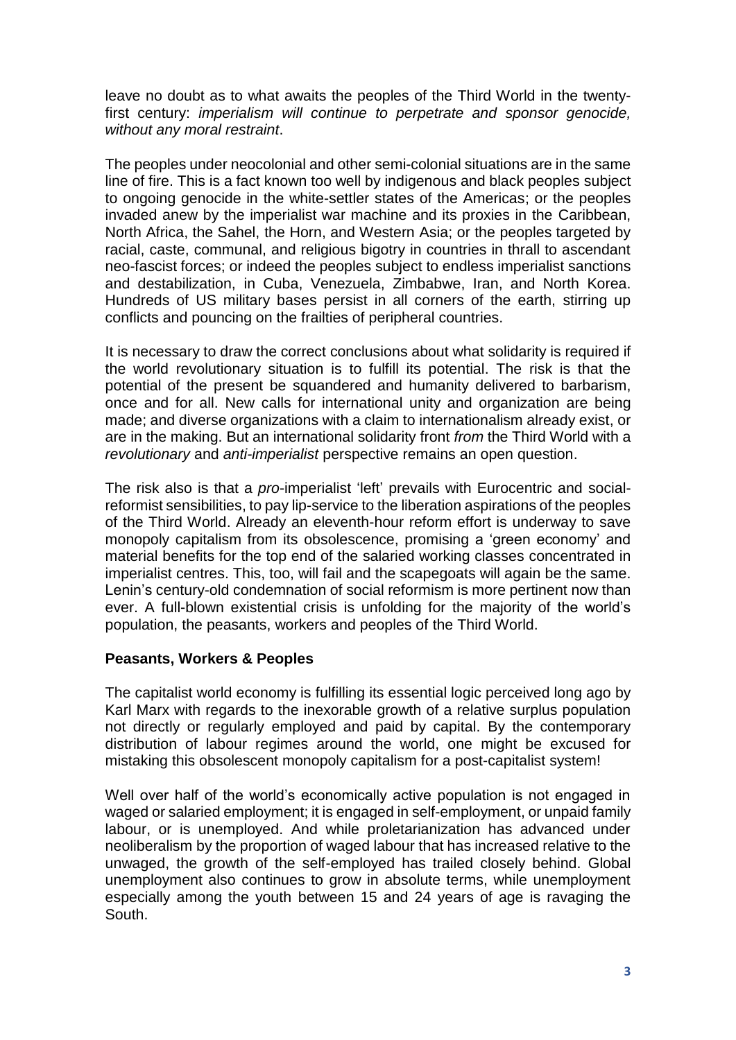leave no doubt as to what awaits the peoples of the Third World in the twentyfirst century: *imperialism will continue to perpetrate and sponsor genocide, without any moral restraint*.

The peoples under neocolonial and other semi-colonial situations are in the same line of fire. This is a fact known too well by indigenous and black peoples subject to ongoing genocide in the white-settler states of the Americas; or the peoples invaded anew by the imperialist war machine and its proxies in the Caribbean, North Africa, the Sahel, the Horn, and Western Asia; or the peoples targeted by racial, caste, communal, and religious bigotry in countries in thrall to ascendant neo-fascist forces; or indeed the peoples subject to endless imperialist sanctions and destabilization, in Cuba, Venezuela, Zimbabwe, Iran, and North Korea. Hundreds of US military bases persist in all corners of the earth, stirring up conflicts and pouncing on the frailties of peripheral countries.

It is necessary to draw the correct conclusions about what solidarity is required if the world revolutionary situation is to fulfill its potential. The risk is that the potential of the present be squandered and humanity delivered to barbarism, once and for all. New calls for international unity and organization are being made; and diverse organizations with a claim to internationalism already exist, or are in the making. But an international solidarity front *from* the Third World with a *revolutionary* and *anti-imperialist* perspective remains an open question.

The risk also is that a *pro*-imperialist 'left' prevails with Eurocentric and socialreformist sensibilities, to pay lip-service to the liberation aspirations of the peoples of the Third World. Already an eleventh-hour reform effort is underway to save monopoly capitalism from its obsolescence, promising a 'green economy' and material benefits for the top end of the salaried working classes concentrated in imperialist centres. This, too, will fail and the scapegoats will again be the same. Lenin's century-old condemnation of social reformism is more pertinent now than ever. A full-blown existential crisis is unfolding for the majority of the world's population, the peasants, workers and peoples of the Third World.

## **Peasants, Workers & Peoples**

The capitalist world economy is fulfilling its essential logic perceived long ago by Karl Marx with regards to the inexorable growth of a relative surplus population not directly or regularly employed and paid by capital. By the contemporary distribution of labour regimes around the world, one might be excused for mistaking this obsolescent monopoly capitalism for a post-capitalist system!

Well over half of the world's economically active population is not engaged in waged or salaried employment; it is engaged in self-employment, or unpaid family labour, or is unemployed. And while proletarianization has advanced under neoliberalism by the proportion of waged labour that has increased relative to the unwaged, the growth of the self-employed has trailed closely behind. Global unemployment also continues to grow in absolute terms, while unemployment especially among the youth between 15 and 24 years of age is ravaging the South.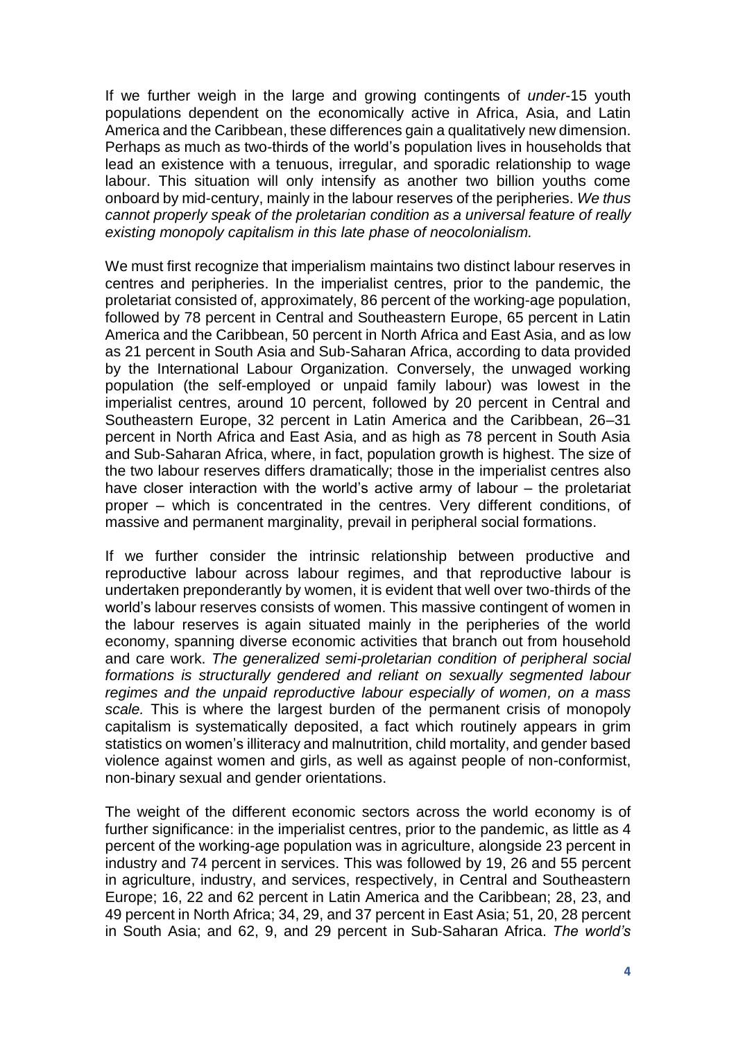If we further weigh in the large and growing contingents of *under*-15 youth populations dependent on the economically active in Africa, Asia, and Latin America and the Caribbean, these differences gain a qualitatively new dimension. Perhaps as much as two-thirds of the world's population lives in households that lead an existence with a tenuous, irregular, and sporadic relationship to wage labour. This situation will only intensify as another two billion youths come onboard by mid-century, mainly in the labour reserves of the peripheries. *We thus cannot properly speak of the proletarian condition as a universal feature of really existing monopoly capitalism in this late phase of neocolonialism.*

We must first recognize that imperialism maintains two distinct labour reserves in centres and peripheries. In the imperialist centres, prior to the pandemic, the proletariat consisted of, approximately, 86 percent of the working-age population, followed by 78 percent in Central and Southeastern Europe, 65 percent in Latin America and the Caribbean, 50 percent in North Africa and East Asia, and as low as 21 percent in South Asia and Sub-Saharan Africa, according to data provided by the International Labour Organization. Conversely, the unwaged working population (the self-employed or unpaid family labour) was lowest in the imperialist centres, around 10 percent, followed by 20 percent in Central and Southeastern Europe, 32 percent in Latin America and the Caribbean, 26–31 percent in North Africa and East Asia, and as high as 78 percent in South Asia and Sub-Saharan Africa, where, in fact, population growth is highest. The size of the two labour reserves differs dramatically; those in the imperialist centres also have closer interaction with the world's active army of labour – the proletariat proper – which is concentrated in the centres. Very different conditions, of massive and permanent marginality, prevail in peripheral social formations.

If we further consider the intrinsic relationship between productive and reproductive labour across labour regimes, and that reproductive labour is undertaken preponderantly by women, it is evident that well over two-thirds of the world's labour reserves consists of women. This massive contingent of women in the labour reserves is again situated mainly in the peripheries of the world economy, spanning diverse economic activities that branch out from household and care work. *The generalized semi-proletarian condition of peripheral social formations is structurally gendered and reliant on sexually segmented labour regimes and the unpaid reproductive labour especially of women, on a mass scale.* This is where the largest burden of the permanent crisis of monopoly capitalism is systematically deposited, a fact which routinely appears in grim statistics on women's illiteracy and malnutrition, child mortality, and gender based violence against women and girls, as well as against people of non-conformist, non-binary sexual and gender orientations.

The weight of the different economic sectors across the world economy is of further significance: in the imperialist centres, prior to the pandemic, as little as 4 percent of the working-age population was in agriculture, alongside 23 percent in industry and 74 percent in services. This was followed by 19, 26 and 55 percent in agriculture, industry, and services, respectively, in Central and Southeastern Europe; 16, 22 and 62 percent in Latin America and the Caribbean; 28, 23, and 49 percent in North Africa; 34, 29, and 37 percent in East Asia; 51, 20, 28 percent in South Asia; and 62, 9, and 29 percent in Sub-Saharan Africa. *The world's*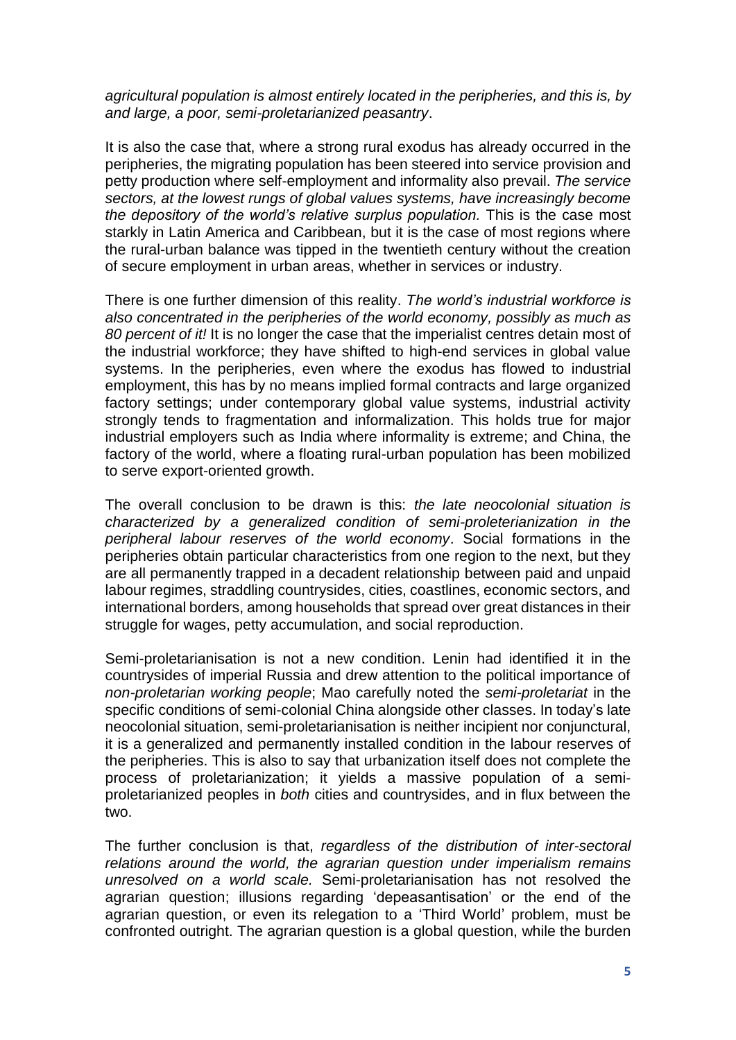*agricultural population is almost entirely located in the peripheries, and this is, by and large, a poor, semi-proletarianized peasantry*.

It is also the case that, where a strong rural exodus has already occurred in the peripheries, the migrating population has been steered into service provision and petty production where self-employment and informality also prevail. *The service sectors, at the lowest rungs of global values systems, have increasingly become the depository of the world's relative surplus population.* This is the case most starkly in Latin America and Caribbean, but it is the case of most regions where the rural-urban balance was tipped in the twentieth century without the creation of secure employment in urban areas, whether in services or industry.

There is one further dimension of this reality. *The world's industrial workforce is also concentrated in the peripheries of the world economy, possibly as much as 80 percent of it!* It is no longer the case that the imperialist centres detain most of the industrial workforce; they have shifted to high-end services in global value systems. In the peripheries, even where the exodus has flowed to industrial employment, this has by no means implied formal contracts and large organized factory settings; under contemporary global value systems, industrial activity strongly tends to fragmentation and informalization. This holds true for major industrial employers such as India where informality is extreme; and China, the factory of the world, where a floating rural-urban population has been mobilized to serve export-oriented growth.

The overall conclusion to be drawn is this: *the late neocolonial situation is characterized by a generalized condition of semi-proleterianization in the peripheral labour reserves of the world economy*. Social formations in the peripheries obtain particular characteristics from one region to the next, but they are all permanently trapped in a decadent relationship between paid and unpaid labour regimes, straddling countrysides, cities, coastlines, economic sectors, and international borders, among households that spread over great distances in their struggle for wages, petty accumulation, and social reproduction.

Semi-proletarianisation is not a new condition. Lenin had identified it in the countrysides of imperial Russia and drew attention to the political importance of *non-proletarian working people*; Mao carefully noted the *semi-proletariat* in the specific conditions of semi-colonial China alongside other classes. In today's late neocolonial situation, semi-proletarianisation is neither incipient nor conjunctural, it is a generalized and permanently installed condition in the labour reserves of the peripheries. This is also to say that urbanization itself does not complete the process of proletarianization; it yields a massive population of a semiproletarianized peoples in *both* cities and countrysides, and in flux between the two.

The further conclusion is that, *regardless of the distribution of inter-sectoral relations around the world, the agrarian question under imperialism remains unresolved on a world scale.* Semi-proletarianisation has not resolved the agrarian question; illusions regarding 'depeasantisation' or the end of the agrarian question, or even its relegation to a 'Third World' problem, must be confronted outright. The agrarian question is a global question, while the burden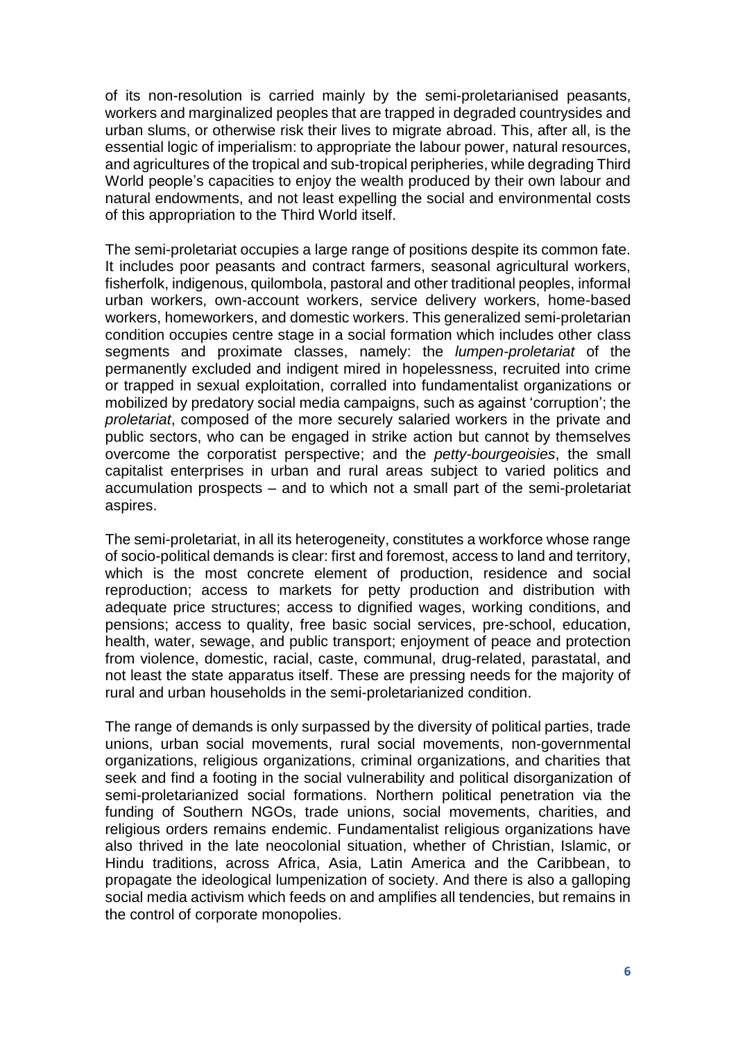of its non-resolution is carried mainly by the semi-proletarianised peasants, workers and marginalized peoples that are trapped in degraded countrysides and urban slums, or otherwise risk their lives to migrate abroad. This, after all, is the essential logic of imperialism: to appropriate the labour power, natural resources, and agricultures of the tropical and sub-tropical peripheries, while degrading Third World people's capacities to enjoy the wealth produced by their own labour and natural endowments, and not least expelling the social and environmental costs of this appropriation to the Third World itself.

The semi-proletariat occupies a large range of positions despite its common fate. It includes poor peasants and contract farmers, seasonal agricultural workers, fisherfolk, indigenous, quilombola, pastoral and other traditional peoples, informal urban workers, own-account workers, service delivery workers, home-based workers, homeworkers, and domestic workers. This generalized semi-proletarian condition occupies centre stage in a social formation which includes other class segments and proximate classes, namely: the *lumpen-proletariat* of the permanently excluded and indigent mired in hopelessness, recruited into crime or trapped in sexual exploitation, corralled into fundamentalist organizations or mobilized by predatory social media campaigns, such as against 'corruption'; the *proletariat*, composed of the more securely salaried workers in the private and public sectors, who can be engaged in strike action but cannot by themselves overcome the corporatist perspective; and the *petty-bourgeoisies*, the small capitalist enterprises in urban and rural areas subject to varied politics and accumulation prospects – and to which not a small part of the semi-proletariat aspires.

The semi-proletariat, in all its heterogeneity, constitutes a workforce whose range of socio-political demands is clear: first and foremost, access to land and territory, which is the most concrete element of production, residence and social reproduction; access to markets for petty production and distribution with adequate price structures; access to dignified wages, working conditions, and pensions; access to quality, free basic social services, pre-school, education, health, water, sewage, and public transport; enjoyment of peace and protection from violence, domestic, racial, caste, communal, drug-related, parastatal, and not least the state apparatus itself. These are pressing needs for the majority of rural and urban households in the semi-proletarianized condition.

The range of demands is only surpassed by the diversity of political parties, trade unions, urban social movements, rural social movements, non-governmental organizations, religious organizations, criminal organizations, and charities that seek and find a footing in the social vulnerability and political disorganization of semi-proletarianized social formations. Northern political penetration via the funding of Southern NGOs, trade unions, social movements, charities, and religious orders remains endemic. Fundamentalist religious organizations have also thrived in the late neocolonial situation, whether of Christian, Islamic, or Hindu traditions, across Africa, Asia, Latin America and the Caribbean, to propagate the ideological lumpenization of society. And there is also a galloping social media activism which feeds on and amplifies all tendencies, but remains in the control of corporate monopolies.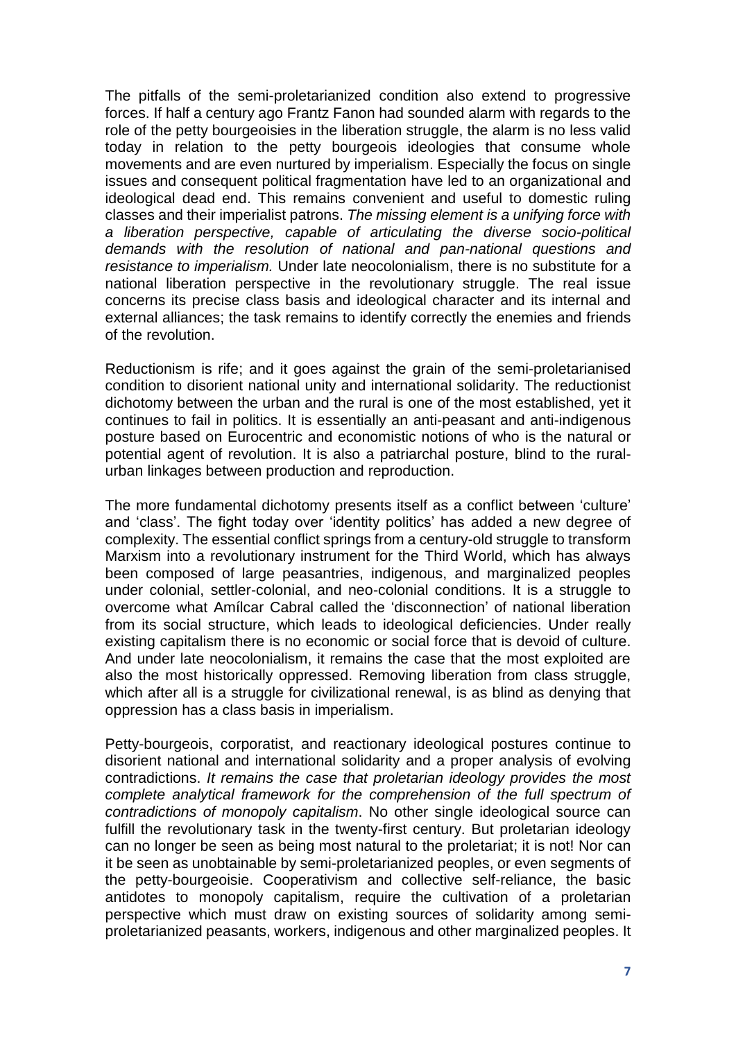The pitfalls of the semi-proletarianized condition also extend to progressive forces. If half a century ago Frantz Fanon had sounded alarm with regards to the role of the petty bourgeoisies in the liberation struggle, the alarm is no less valid today in relation to the petty bourgeois ideologies that consume whole movements and are even nurtured by imperialism. Especially the focus on single issues and consequent political fragmentation have led to an organizational and ideological dead end. This remains convenient and useful to domestic ruling classes and their imperialist patrons. *The missing element is a unifying force with a liberation perspective, capable of articulating the diverse socio-political demands with the resolution of national and pan-national questions and resistance to imperialism.* Under late neocolonialism, there is no substitute for a national liberation perspective in the revolutionary struggle. The real issue concerns its precise class basis and ideological character and its internal and external alliances; the task remains to identify correctly the enemies and friends of the revolution.

Reductionism is rife; and it goes against the grain of the semi-proletarianised condition to disorient national unity and international solidarity. The reductionist dichotomy between the urban and the rural is one of the most established, yet it continues to fail in politics. It is essentially an anti-peasant and anti-indigenous posture based on Eurocentric and economistic notions of who is the natural or potential agent of revolution. It is also a patriarchal posture, blind to the ruralurban linkages between production and reproduction.

The more fundamental dichotomy presents itself as a conflict between 'culture' and 'class'. The fight today over 'identity politics' has added a new degree of complexity. The essential conflict springs from a century-old struggle to transform Marxism into a revolutionary instrument for the Third World, which has always been composed of large peasantries, indigenous, and marginalized peoples under colonial, settler-colonial, and neo-colonial conditions. It is a struggle to overcome what Amílcar Cabral called the 'disconnection' of national liberation from its social structure, which leads to ideological deficiencies. Under really existing capitalism there is no economic or social force that is devoid of culture. And under late neocolonialism, it remains the case that the most exploited are also the most historically oppressed. Removing liberation from class struggle, which after all is a struggle for civilizational renewal, is as blind as denying that oppression has a class basis in imperialism.

Petty-bourgeois, corporatist, and reactionary ideological postures continue to disorient national and international solidarity and a proper analysis of evolving contradictions. *It remains the case that proletarian ideology provides the most complete analytical framework for the comprehension of the full spectrum of contradictions of monopoly capitalism*. No other single ideological source can fulfill the revolutionary task in the twenty-first century. But proletarian ideology can no longer be seen as being most natural to the proletariat; it is not! Nor can it be seen as unobtainable by semi-proletarianized peoples, or even segments of the petty-bourgeoisie. Cooperativism and collective self-reliance, the basic antidotes to monopoly capitalism, require the cultivation of a proletarian perspective which must draw on existing sources of solidarity among semiproletarianized peasants, workers, indigenous and other marginalized peoples. It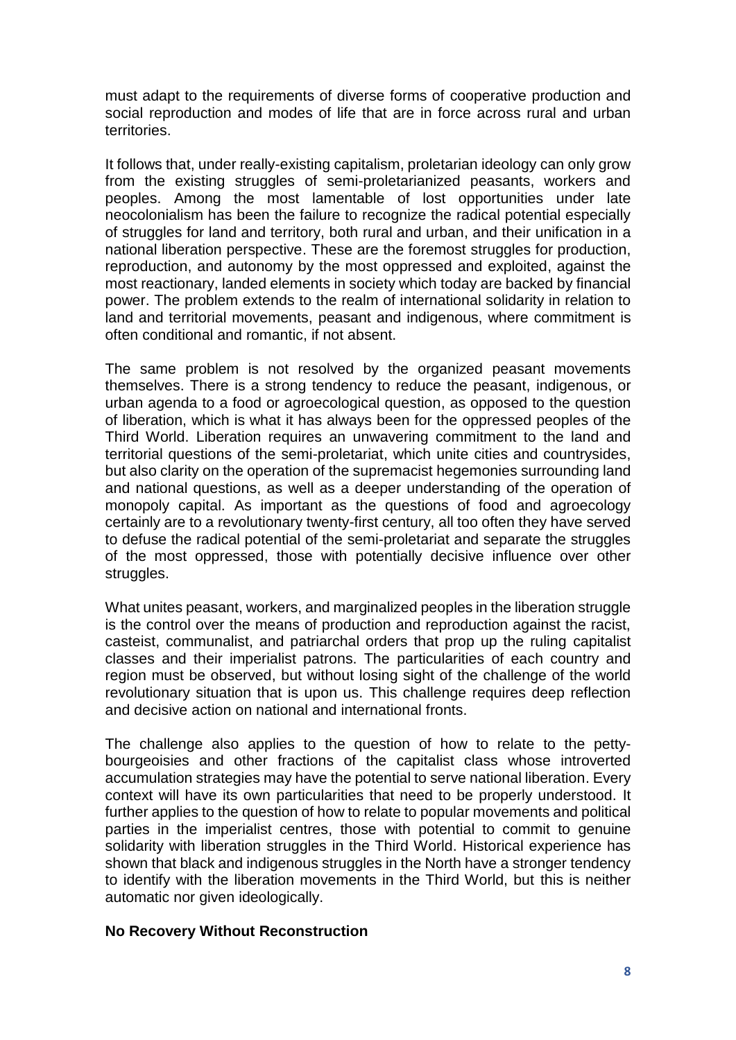must adapt to the requirements of diverse forms of cooperative production and social reproduction and modes of life that are in force across rural and urban territories.

It follows that, under really-existing capitalism, proletarian ideology can only grow from the existing struggles of semi-proletarianized peasants, workers and peoples. Among the most lamentable of lost opportunities under late neocolonialism has been the failure to recognize the radical potential especially of struggles for land and territory, both rural and urban, and their unification in a national liberation perspective. These are the foremost struggles for production, reproduction, and autonomy by the most oppressed and exploited, against the most reactionary, landed elements in society which today are backed by financial power. The problem extends to the realm of international solidarity in relation to land and territorial movements, peasant and indigenous, where commitment is often conditional and romantic, if not absent.

The same problem is not resolved by the organized peasant movements themselves. There is a strong tendency to reduce the peasant, indigenous, or urban agenda to a food or agroecological question, as opposed to the question of liberation, which is what it has always been for the oppressed peoples of the Third World. Liberation requires an unwavering commitment to the land and territorial questions of the semi-proletariat, which unite cities and countrysides, but also clarity on the operation of the supremacist hegemonies surrounding land and national questions, as well as a deeper understanding of the operation of monopoly capital. As important as the questions of food and agroecology certainly are to a revolutionary twenty-first century, all too often they have served to defuse the radical potential of the semi-proletariat and separate the struggles of the most oppressed, those with potentially decisive influence over other struggles.

What unites peasant, workers, and marginalized peoples in the liberation struggle is the control over the means of production and reproduction against the racist, casteist, communalist, and patriarchal orders that prop up the ruling capitalist classes and their imperialist patrons. The particularities of each country and region must be observed, but without losing sight of the challenge of the world revolutionary situation that is upon us. This challenge requires deep reflection and decisive action on national and international fronts.

The challenge also applies to the question of how to relate to the pettybourgeoisies and other fractions of the capitalist class whose introverted accumulation strategies may have the potential to serve national liberation. Every context will have its own particularities that need to be properly understood. It further applies to the question of how to relate to popular movements and political parties in the imperialist centres, those with potential to commit to genuine solidarity with liberation struggles in the Third World. Historical experience has shown that black and indigenous struggles in the North have a stronger tendency to identify with the liberation movements in the Third World, but this is neither automatic nor given ideologically.

## **No Recovery Without Reconstruction**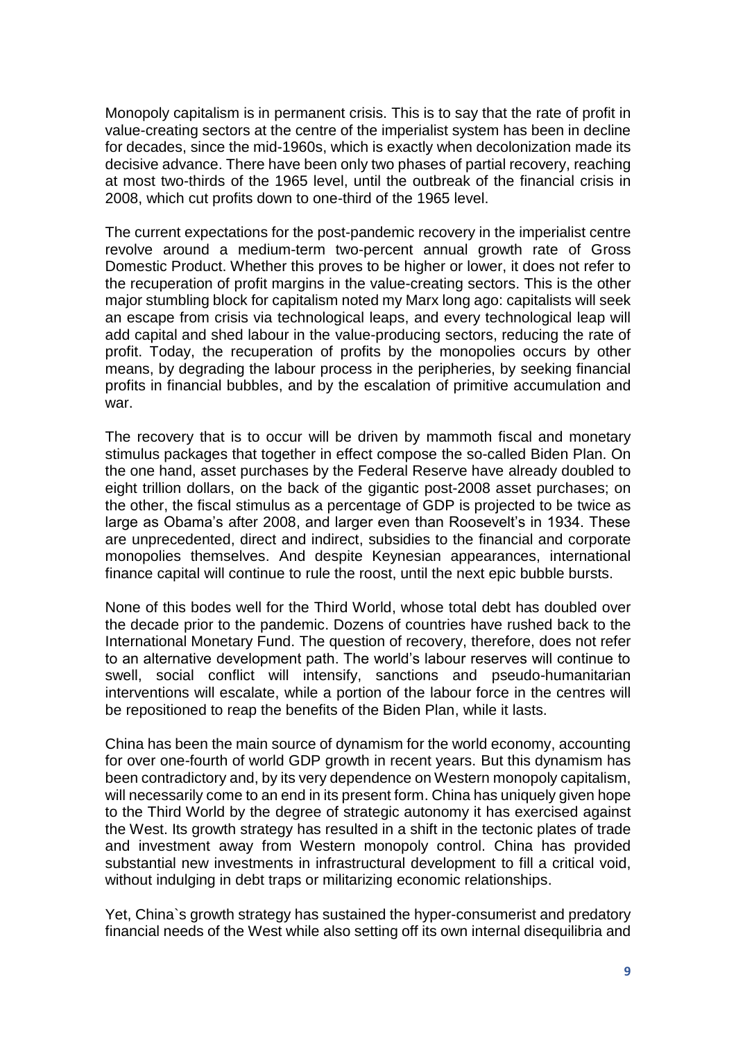Monopoly capitalism is in permanent crisis. This is to say that the rate of profit in value-creating sectors at the centre of the imperialist system has been in decline for decades, since the mid-1960s, which is exactly when decolonization made its decisive advance. There have been only two phases of partial recovery, reaching at most two-thirds of the 1965 level, until the outbreak of the financial crisis in 2008, which cut profits down to one-third of the 1965 level.

The current expectations for the post-pandemic recovery in the imperialist centre revolve around a medium-term two-percent annual growth rate of Gross Domestic Product. Whether this proves to be higher or lower, it does not refer to the recuperation of profit margins in the value-creating sectors. This is the other major stumbling block for capitalism noted my Marx long ago: capitalists will seek an escape from crisis via technological leaps, and every technological leap will add capital and shed labour in the value-producing sectors, reducing the rate of profit. Today, the recuperation of profits by the monopolies occurs by other means, by degrading the labour process in the peripheries, by seeking financial profits in financial bubbles, and by the escalation of primitive accumulation and war.

The recovery that is to occur will be driven by mammoth fiscal and monetary stimulus packages that together in effect compose the so-called Biden Plan. On the one hand, asset purchases by the Federal Reserve have already doubled to eight trillion dollars, on the back of the gigantic post-2008 asset purchases; on the other, the fiscal stimulus as a percentage of GDP is projected to be twice as large as Obama's after 2008, and larger even than Roosevelt's in 1934. These are unprecedented, direct and indirect, subsidies to the financial and corporate monopolies themselves. And despite Keynesian appearances, international finance capital will continue to rule the roost, until the next epic bubble bursts.

None of this bodes well for the Third World, whose total debt has doubled over the decade prior to the pandemic. Dozens of countries have rushed back to the International Monetary Fund. The question of recovery, therefore, does not refer to an alternative development path. The world's labour reserves will continue to swell, social conflict will intensify, sanctions and pseudo-humanitarian interventions will escalate, while a portion of the labour force in the centres will be repositioned to reap the benefits of the Biden Plan, while it lasts.

China has been the main source of dynamism for the world economy, accounting for over one-fourth of world GDP growth in recent years. But this dynamism has been contradictory and, by its very dependence on Western monopoly capitalism, will necessarily come to an end in its present form. China has uniquely given hope to the Third World by the degree of strategic autonomy it has exercised against the West. Its growth strategy has resulted in a shift in the tectonic plates of trade and investment away from Western monopoly control. China has provided substantial new investments in infrastructural development to fill a critical void, without indulging in debt traps or militarizing economic relationships.

Yet, China`s growth strategy has sustained the hyper-consumerist and predatory financial needs of the West while also setting off its own internal disequilibria and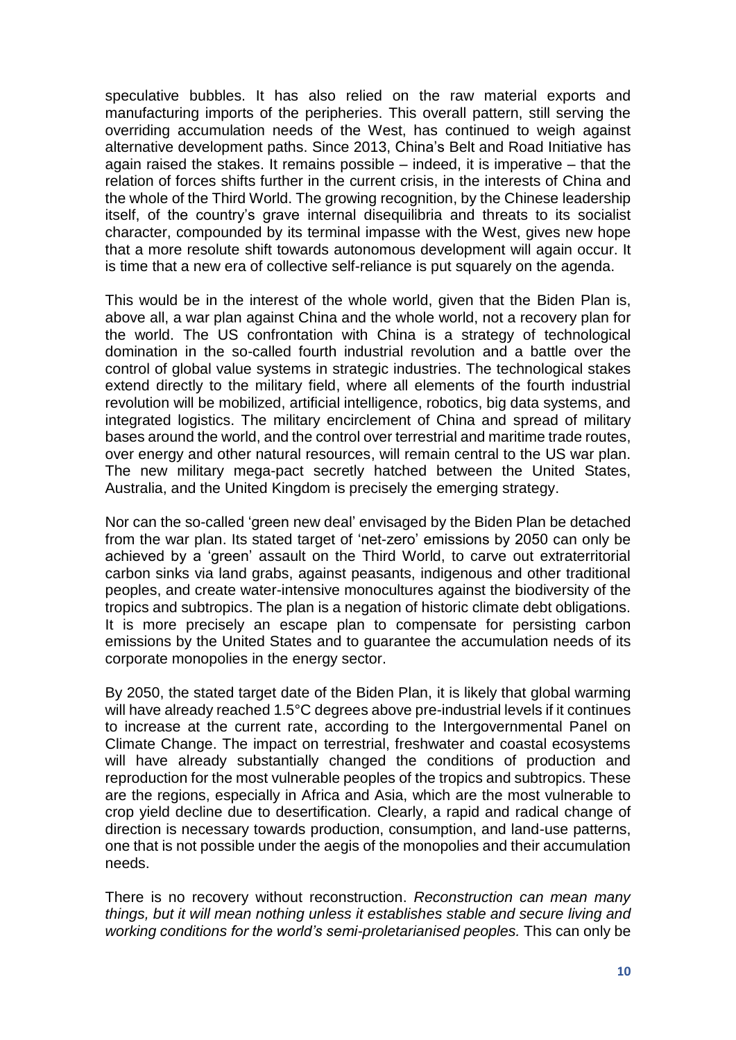speculative bubbles. It has also relied on the raw material exports and manufacturing imports of the peripheries. This overall pattern, still serving the overriding accumulation needs of the West, has continued to weigh against alternative development paths. Since 2013, China's Belt and Road Initiative has again raised the stakes. It remains possible – indeed, it is imperative – that the relation of forces shifts further in the current crisis, in the interests of China and the whole of the Third World. The growing recognition, by the Chinese leadership itself, of the country's grave internal disequilibria and threats to its socialist character, compounded by its terminal impasse with the West, gives new hope that a more resolute shift towards autonomous development will again occur. It is time that a new era of collective self-reliance is put squarely on the agenda.

This would be in the interest of the whole world, given that the Biden Plan is, above all, a war plan against China and the whole world, not a recovery plan for the world. The US confrontation with China is a strategy of technological domination in the so-called fourth industrial revolution and a battle over the control of global value systems in strategic industries. The technological stakes extend directly to the military field, where all elements of the fourth industrial revolution will be mobilized, artificial intelligence, robotics, big data systems, and integrated logistics. The military encirclement of China and spread of military bases around the world, and the control over terrestrial and maritime trade routes, over energy and other natural resources, will remain central to the US war plan. The new military mega-pact secretly hatched between the United States, Australia, and the United Kingdom is precisely the emerging strategy.

Nor can the so-called 'green new deal' envisaged by the Biden Plan be detached from the war plan. Its stated target of 'net-zero' emissions by 2050 can only be achieved by a 'green' assault on the Third World, to carve out extraterritorial carbon sinks via land grabs, against peasants, indigenous and other traditional peoples, and create water-intensive monocultures against the biodiversity of the tropics and subtropics. The plan is a negation of historic climate debt obligations. It is more precisely an escape plan to compensate for persisting carbon emissions by the United States and to guarantee the accumulation needs of its corporate monopolies in the energy sector.

By 2050, the stated target date of the Biden Plan, it is likely that global warming will have already reached 1.5°C degrees above pre-industrial levels if it continues to increase at the current rate, according to the Intergovernmental Panel on Climate Change. The impact on terrestrial, freshwater and coastal ecosystems will have already substantially changed the conditions of production and reproduction for the most vulnerable peoples of the tropics and subtropics. These are the regions, especially in Africa and Asia, which are the most vulnerable to crop yield decline due to desertification. Clearly, a rapid and radical change of direction is necessary towards production, consumption, and land-use patterns, one that is not possible under the aegis of the monopolies and their accumulation needs.

There is no recovery without reconstruction. *Reconstruction can mean many things, but it will mean nothing unless it establishes stable and secure living and working conditions for the world's semi-proletarianised peoples.* This can only be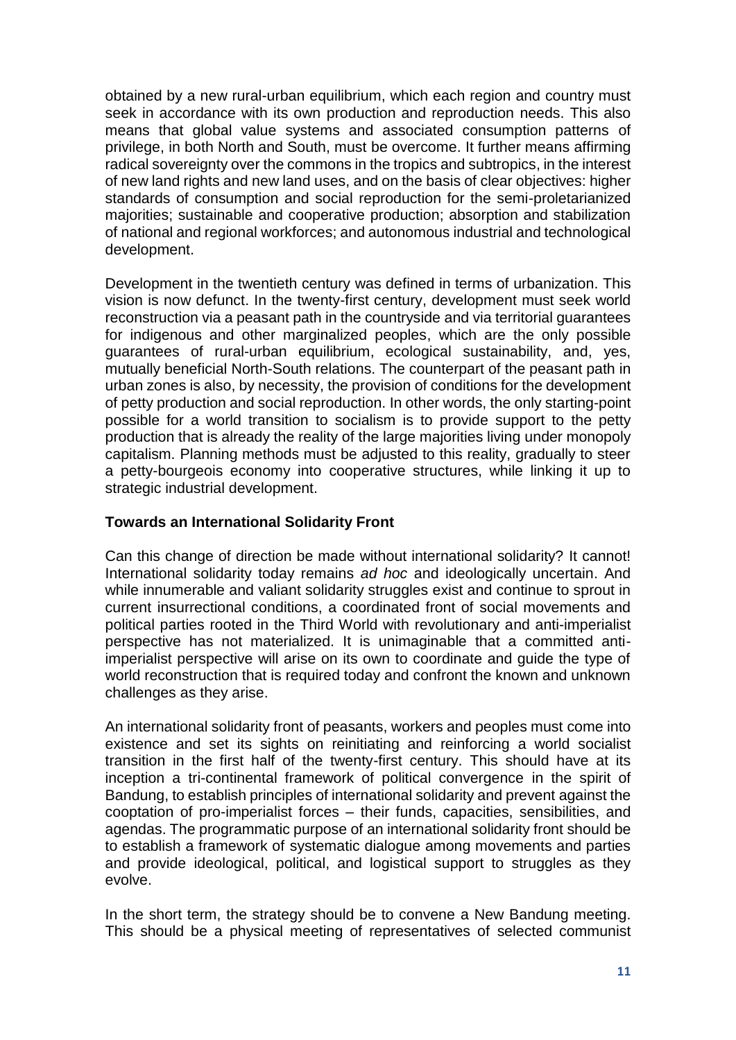obtained by a new rural-urban equilibrium, which each region and country must seek in accordance with its own production and reproduction needs. This also means that global value systems and associated consumption patterns of privilege, in both North and South, must be overcome. It further means affirming radical sovereignty over the commons in the tropics and subtropics, in the interest of new land rights and new land uses, and on the basis of clear objectives: higher standards of consumption and social reproduction for the semi-proletarianized majorities; sustainable and cooperative production; absorption and stabilization of national and regional workforces; and autonomous industrial and technological development.

Development in the twentieth century was defined in terms of urbanization. This vision is now defunct. In the twenty-first century, development must seek world reconstruction via a peasant path in the countryside and via territorial guarantees for indigenous and other marginalized peoples, which are the only possible guarantees of rural-urban equilibrium, ecological sustainability, and, yes, mutually beneficial North-South relations. The counterpart of the peasant path in urban zones is also, by necessity, the provision of conditions for the development of petty production and social reproduction. In other words, the only starting-point possible for a world transition to socialism is to provide support to the petty production that is already the reality of the large majorities living under monopoly capitalism. Planning methods must be adjusted to this reality, gradually to steer a petty-bourgeois economy into cooperative structures, while linking it up to strategic industrial development.

## **Towards an International Solidarity Front**

Can this change of direction be made without international solidarity? It cannot! International solidarity today remains *ad hoc* and ideologically uncertain. And while innumerable and valiant solidarity struggles exist and continue to sprout in current insurrectional conditions, a coordinated front of social movements and political parties rooted in the Third World with revolutionary and anti-imperialist perspective has not materialized. It is unimaginable that a committed antiimperialist perspective will arise on its own to coordinate and guide the type of world reconstruction that is required today and confront the known and unknown challenges as they arise.

An international solidarity front of peasants, workers and peoples must come into existence and set its sights on reinitiating and reinforcing a world socialist transition in the first half of the twenty-first century. This should have at its inception a tri-continental framework of political convergence in the spirit of Bandung, to establish principles of international solidarity and prevent against the cooptation of pro-imperialist forces – their funds, capacities, sensibilities, and agendas. The programmatic purpose of an international solidarity front should be to establish a framework of systematic dialogue among movements and parties and provide ideological, political, and logistical support to struggles as they evolve.

In the short term, the strategy should be to convene a New Bandung meeting. This should be a physical meeting of representatives of selected communist